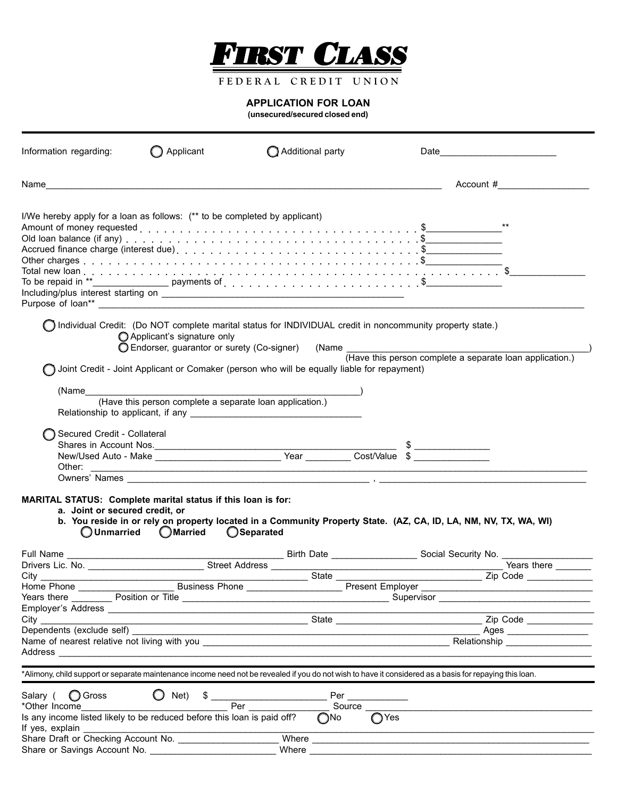

FEDERAL CREDIT UNION

## **APPLICATION FOR LOAN**

**(unsecured/secured closed end)**

| Information regarding:                                                                                                                                                                                                                                                                                                       | Applicant                                                                 | Additional party                                                                                                                                                                                                                                                                                                                                                                                                                      | Date                                                                                                                                                                                                                                                        |
|------------------------------------------------------------------------------------------------------------------------------------------------------------------------------------------------------------------------------------------------------------------------------------------------------------------------------|---------------------------------------------------------------------------|---------------------------------------------------------------------------------------------------------------------------------------------------------------------------------------------------------------------------------------------------------------------------------------------------------------------------------------------------------------------------------------------------------------------------------------|-------------------------------------------------------------------------------------------------------------------------------------------------------------------------------------------------------------------------------------------------------------|
| Name                                                                                                                                                                                                                                                                                                                         |                                                                           |                                                                                                                                                                                                                                                                                                                                                                                                                                       | Account #                                                                                                                                                                                                                                                   |
| I/We hereby apply for a loan as follows: (** to be completed by applicant)                                                                                                                                                                                                                                                   |                                                                           | Old loan balance (if any) $\ldots \ldots \ldots \ldots \ldots \ldots \ldots \ldots \ldots \ldots \ldots \ldots$                                                                                                                                                                                                                                                                                                                       |                                                                                                                                                                                                                                                             |
|                                                                                                                                                                                                                                                                                                                              | Applicant's signature only<br>◯ Endorser, guarantor or surety (Co-signer) |                                                                                                                                                                                                                                                                                                                                                                                                                                       | Individual Credit: (Do NOT complete marital status for INDIVIDUAL credit in noncommunity property state.)                                                                                                                                                   |
|                                                                                                                                                                                                                                                                                                                              |                                                                           | Joint Credit - Joint Applicant or Comaker (person who will be equally liable for repayment)                                                                                                                                                                                                                                                                                                                                           |                                                                                                                                                                                                                                                             |
| (Name                                                                                                                                                                                                                                                                                                                        |                                                                           |                                                                                                                                                                                                                                                                                                                                                                                                                                       |                                                                                                                                                                                                                                                             |
|                                                                                                                                                                                                                                                                                                                              | (Have this person complete a separate loan application.)                  | Relationship to applicant, if any <b>Network Relationship</b> to applicant, if any                                                                                                                                                                                                                                                                                                                                                    |                                                                                                                                                                                                                                                             |
| Secured Credit - Collateral<br>Other:                                                                                                                                                                                                                                                                                        |                                                                           | <u> 1989 - Johann John Stein, mars an deus Amerikaansk kommunister (* 1950)</u>                                                                                                                                                                                                                                                                                                                                                       |                                                                                                                                                                                                                                                             |
| MARITAL STATUS: Complete marital status if this loan is for:<br>a. Joint or secured credit, or<br>O Unmarried                                                                                                                                                                                                                | <b>OMarried</b>                                                           | ◯Separated                                                                                                                                                                                                                                                                                                                                                                                                                            | b. You reside in or rely on property located in a Community Property State. (AZ, CA, ID, LA, NM, NV, TX, WA, WI)                                                                                                                                            |
|                                                                                                                                                                                                                                                                                                                              |                                                                           |                                                                                                                                                                                                                                                                                                                                                                                                                                       |                                                                                                                                                                                                                                                             |
|                                                                                                                                                                                                                                                                                                                              |                                                                           |                                                                                                                                                                                                                                                                                                                                                                                                                                       |                                                                                                                                                                                                                                                             |
|                                                                                                                                                                                                                                                                                                                              |                                                                           |                                                                                                                                                                                                                                                                                                                                                                                                                                       | Years there <u>The Position or Title Communication and Supervisor Communication</u> Supervisor Communication Construction                                                                                                                                   |
|                                                                                                                                                                                                                                                                                                                              |                                                                           |                                                                                                                                                                                                                                                                                                                                                                                                                                       |                                                                                                                                                                                                                                                             |
| Dependents (exclude self)                                                                                                                                                                                                                                                                                                    |                                                                           |                                                                                                                                                                                                                                                                                                                                                                                                                                       | $\text{Ages}$                                                                                                                                                                                                                                               |
|                                                                                                                                                                                                                                                                                                                              |                                                                           |                                                                                                                                                                                                                                                                                                                                                                                                                                       | *Alimony, child support or separate maintenance income need not be revealed if you do not wish to have it considered as a basis for repaying this loan.                                                                                                     |
| Salary ( <b>O</b> Gross                                                                                                                                                                                                                                                                                                      | $\bigcirc$ Net)                                                           | $\frac{1}{2}$ $\frac{1}{2}$ $\frac{1}{2}$ $\frac{1}{2}$ $\frac{1}{2}$ $\frac{1}{2}$ $\frac{1}{2}$ $\frac{1}{2}$ $\frac{1}{2}$ $\frac{1}{2}$ $\frac{1}{2}$ $\frac{1}{2}$ $\frac{1}{2}$ $\frac{1}{2}$ $\frac{1}{2}$ $\frac{1}{2}$ $\frac{1}{2}$ $\frac{1}{2}$ $\frac{1}{2}$ $\frac{1}{2}$ $\frac{1}{2}$ $\frac{1}{2}$<br>Per and the set of the set of the set of the set of the set of the set of the set of the set of the set of the | $Per \_\_\_\_\_\_\_$                                                                                                                                                                                                                                        |
| *Other Income and the state of the state of the state of the state of the state of the state of the state of the state of the state of the state of the state of the state of the state of the state of the state of the state<br>Is any income listed likely to be reduced before this loan is paid off?<br>If yes, explain |                                                                           | $\bigcap$ No                                                                                                                                                                                                                                                                                                                                                                                                                          | Source _______<br>$\bigcirc$ Yes                                                                                                                                                                                                                            |
| Share Draft or Checking Account No.                                                                                                                                                                                                                                                                                          |                                                                           |                                                                                                                                                                                                                                                                                                                                                                                                                                       | Where <b>Manual</b><br>Where <u>the contract of the contract of the contract of the contract of the contract of the contract of the contract of the contract of the contract of the contract of the contract of the contract of the contract of the con</u> |